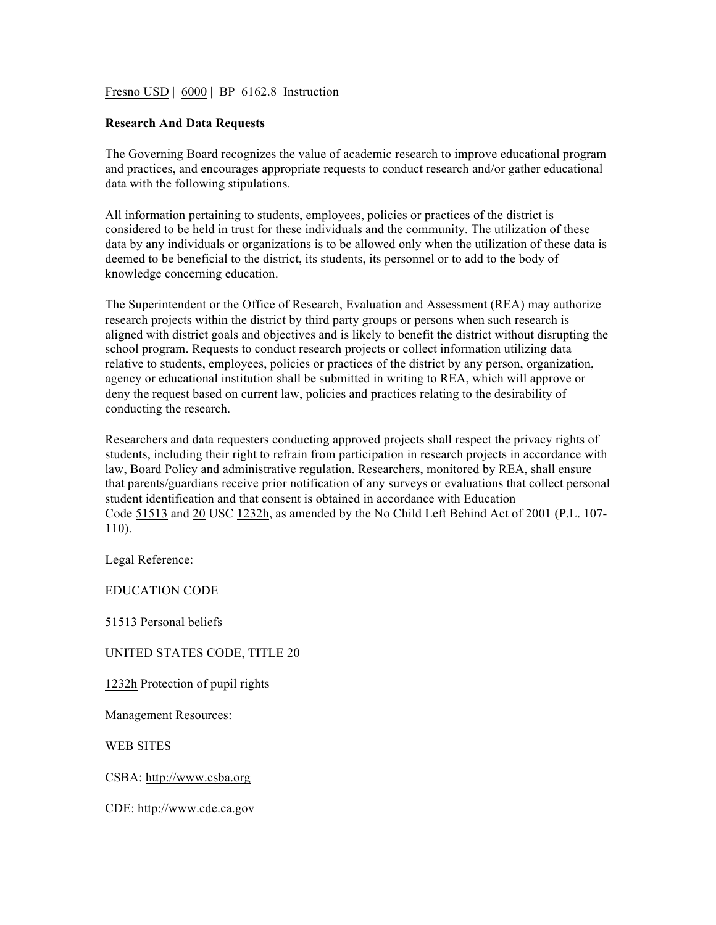Fresno USD | 6000 | BP 6162.8 Instruction

## **Research And Data Requests**

The Governing Board recognizes the value of academic research to improve educational program and practices, and encourages appropriate requests to conduct research and/or gather educational data with the following stipulations.

All information pertaining to students, employees, policies or practices of the district is considered to be held in trust for these individuals and the community. The utilization of these data by any individuals or organizations is to be allowed only when the utilization of these data is deemed to be beneficial to the district, its students, its personnel or to add to the body of knowledge concerning education.

The Superintendent or the Office of Research, Evaluation and Assessment (REA) may authorize research projects within the district by third party groups or persons when such research is aligned with district goals and objectives and is likely to benefit the district without disrupting the school program. Requests to conduct research projects or collect information utilizing data relative to students, employees, policies or practices of the district by any person, organization, agency or educational institution shall be submitted in writing to REA, which will approve or deny the request based on current law, policies and practices relating to the desirability of conducting the research.

Researchers and data requesters conducting approved projects shall respect the privacy rights of students, including their right to refrain from participation in research projects in accordance with law, Board Policy and administrative regulation. Researchers, monitored by REA, shall ensure that parents/guardians receive prior notification of any surveys or evaluations that collect personal student identification and that consent is obtained in accordance with Education Code 51513 and 20 USC 1232h, as amended by the No Child Left Behind Act of 2001 (P.L. 107- 110).

Legal Reference:

EDUCATION CODE

51513 Personal beliefs

## UNITED STATES CODE, TITLE 20

1232h Protection of pupil rights

Management Resources:

WEB SITES

CSBA: http://www.csba.org

CDE: http://www.cde.ca.gov